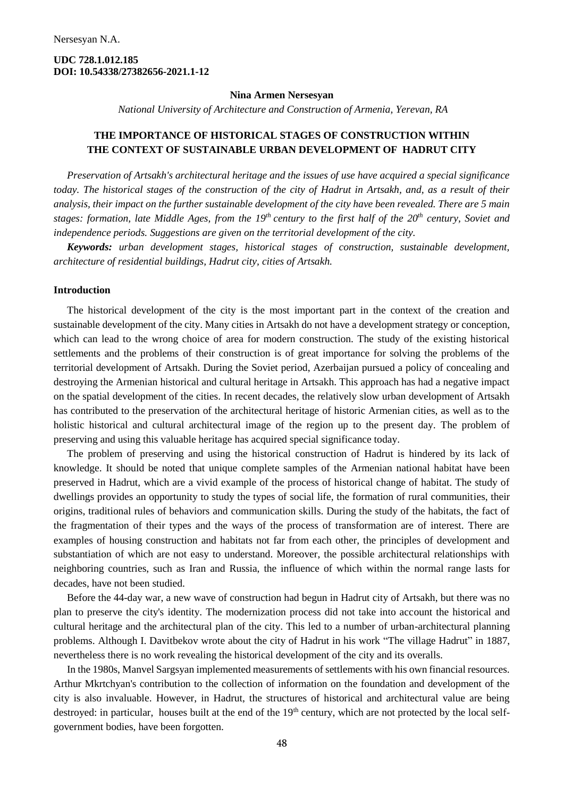## **UDC 728.1.012.185 DOI: 10.54338/27382656-2021.1-12**

#### **Nina Armen Nersesyan**

*National University of Architecture and Construction of Armenia, Yerevan, RA*

# **THE IMPORTANCE OF HISTORICAL STAGES OF CONSTRUCTION WITHIN THE CONTEXT OF SUSTAINABLE URBAN DEVELOPMENT OF HADRUT CITY**

*Preservation of Artsakh's architectural heritage and the issues of use have acquired a special significance today. The historical stages of the construction of the city of Hadrut in Artsakh, and, as a result of their analysis, their impact on the further sustainable development of the city have been revealed. There are 5 main stages: formation, late Middle Ages, from the 19th century to the first half of the 20th century, Soviet and independence periods. Suggestions are given on the territorial development of the city.* 

*Keywords: urban development stages, historical stages of construction, sustainable development, architecture of residential buildings, Hadrut city, cities of Artsakh.*

### **Introduction**

The historical development of the city is the most important part in the context of the creation and sustainable development of the city. Many cities in Artsakh do not have a development strategy or conception, which can lead to the wrong choice of area for modern construction. The study of the existing historical settlements and the problems of their construction is of great importance for solving the problems of the territorial development of Artsakh. During the Soviet period, Azerbaijan pursued a policy of concealing and destroying the Armenian historical and cultural heritage in Artsakh. This approach has had a negative impact on the spatial development of the cities. In recent decades, the relatively slow urban development of Artsakh has contributed to the preservation of the architectural heritage of historic Armenian cities, as well as to the holistic historical and cultural architectural image of the region up to the present day. The problem of preserving and using this valuable heritage has acquired special significance today.

The problem of preserving and using the historical construction of Hadrut is hindered by its lack of knowledge. It should be noted that unique complete samples of the Armenian national habitat have been preserved in Hadrut, which are a vivid example of the process of historical change of habitat. The study of dwellings provides an opportunity to study the types of social life, the formation of rural communities, their origins, traditional rules of behaviors and communication skills. During the study of the habitats, the fact of the fragmentation of their types and the ways of the process of transformation are of interest. There are examples of housing construction and habitats not far from each other, the principles of development and substantiation of which are not easy to understand. Moreover, the possible architectural relationships with neighboring countries, such as Iran and Russia, the influence of which within the normal range lasts for decades, have not been studied.

Before the 44-day war, a new wave of construction had begun in Hadrut city of Artsakh, but there was no plan to preserve the city's identity. The modernization process did not take into account the historical and cultural heritage and the architectural plan of the city. This led to a number of urban-architectural planning problems. Although I. Davitbekov wrote about the city of Hadrut in his work "The village Hadrut" in 1887, nevertheless there is no work revealing the historical development of the city and its overalls.

In the 1980s, Manvel Sargsyan implemented measurements of settlements with his own financial resources. Arthur Mkrtchyan's contribution to the collection of information on the foundation and development of the city is also invaluable. However, in Hadrut, the structures of historical and architectural value are being destroyed: in particular, houses built at the end of the 19<sup>th</sup> century, which are not protected by the local selfgovernment bodies, have been forgotten.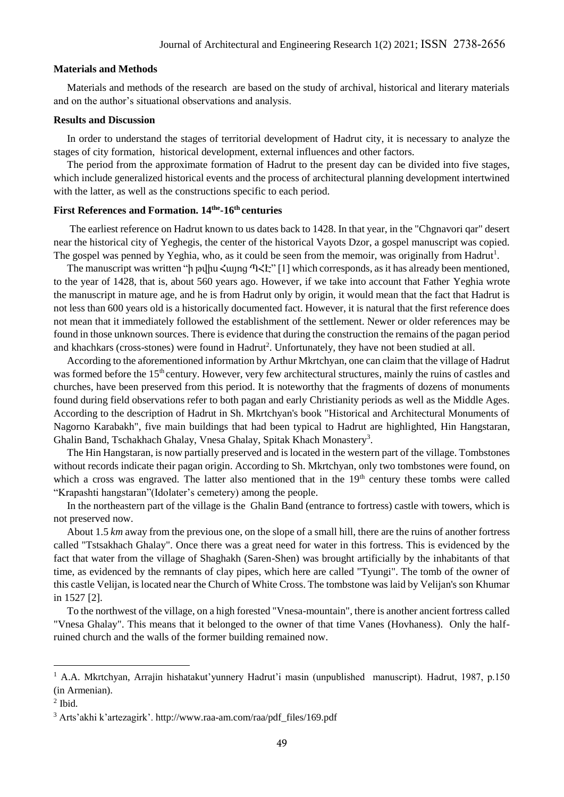### **Materials and Methods**

Materials and methods of the research are based on the study of archival, historical and literary materials and on the author's situational observations and analysis.

## **Results and Discussion**

In order to understand the stages of territorial development of Hadrut city, it is necessary to analyze the stages of city formation, historical development, external influences and other factors.

The period from the approximate formation of Hadrut to the present day can be divided into five stages, which include generalized historical events and the process of architectural planning development intertwined with the latter, as well as the constructions specific to each period.

### **First References and Formation. 14the -16th centuries**

The earliest reference on Hadrut known to us dates back to 1428. In that year, in the "Chgnavori qar" desert near the historical city of Yeghegis, the center of the historical Vayots Dzor, a gospel manuscript was copied. The gospel was penned by Yeghia, who, as it could be seen from the memoir, was originally from Hadrut<sup>1</sup>.

The manuscript was written "ի թվիս Հայոց ՊՀԷ" [1] which corresponds, as it has already been mentioned, to the year of 1428, that is, about 560 years ago. However, if we take into account that Father Yeghia wrote the manuscript in mature age, and he is from Hadrut only by origin, it would mean that the fact that Hadrut is not less than 600 years old is a historically documented fact. However, it is natural that the first reference does not mean that it immediately followed the establishment of the settlement. Newer or older references may be found in those unknown sources. There is evidence that during the construction the remains of the pagan period and khachkars (cross-stones) were found in Hadrut<sup>2</sup>. Unfortunately, they have not been studied at all.

According to the aforementioned information by Arthur Mkrtchyan, one can claim that the village of Hadrut was formed before the 15<sup>th</sup> century. However, very few architectural structures, mainly the ruins of castles and churches, have been preserved from this period. It is noteworthy that the fragments of dozens of monuments found during field observations refer to both pagan and early Christianity periods as well as the Middle Ages. According to the description of Hadrut in Sh. Mkrtchyan's book "Historical and Architectural Monuments of Nagorno Karabakh", five main buildings that had been typical to Hadrut are highlighted, Hin Hangstaran, Ghalin Band, Tschakhach Ghalay, Vnesa Ghalay, Spitak Khach Monastery<sup>3</sup>.

The Hin Hangstaran, is now partially preserved and is located in the western part of the village. Tombstones without records indicate their pagan origin. According to Sh. Mkrtchyan, only two tombstones were found, on which a cross was engraved. The latter also mentioned that in the 19<sup>th</sup> century these tombs were called "Krapashti hangstaran"(Idolater's cemetery) among the people.

In the northeastern part of the village is the Ghalin Band (entrance to fortress) castle with towers, which is not preserved now.

About 1.5 *km* away from the previous one, on the slope of a small hill, there are the ruins of another fortress called "Tstsakhach Ghalay". Once there was a great need for water in this fortress. This is evidenced by the fact that water from the village of Shaghakh (Saren-Shen) was brought artificially by the inhabitants of that time, as evidenced by the remnants of clay pipes, which here are called "Tyungi". The tomb of the owner of this castle Velijan, is located near the Church of White Cross. The tombstone was laid by Velijan's son Khumar in 1527 [2].

To the northwest of the village, on a high forested "Vnesa-mountain", there is another ancient fortress called "Vnesa Ghalay". This means that it belonged to the owner of that time Vanes (Hovhaness). Only the halfruined church and the walls of the former building remained now.

<sup>1</sup> A.A. Mkrtchyan, Arrajin hishatakut'yunnery Hadrut'i masin (unpublished manuscript). Hadrut, 1987, p.150 (in Armenian).

 $<sup>2</sup>$  Ibid.</sup>

<sup>3</sup> Arts'akhi k'artezagirk'. [http://www.raa-am.com/raa/pdf\\_files/169.pdf](http://www.raa-am.com/raa/pdf_files/169.pdf)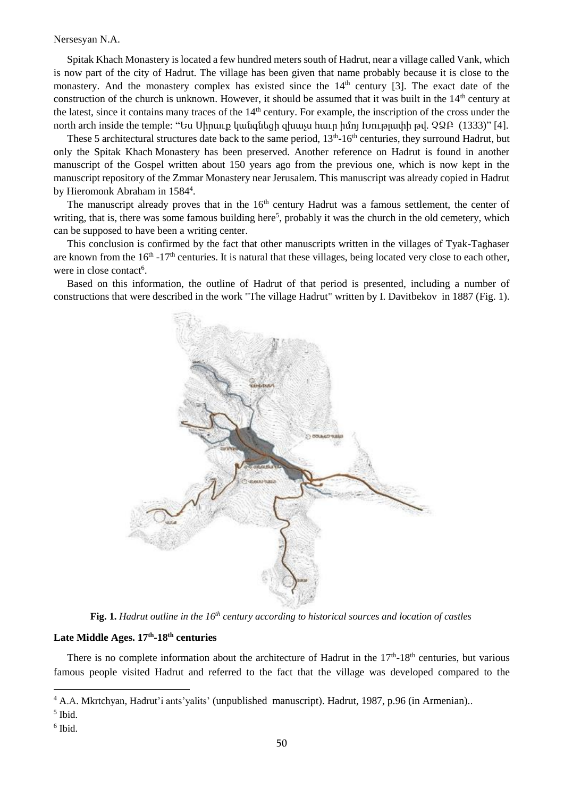Nersesyan N.A.

Spitak Khach Monastery is located a few hundred meters south of Hadrut, near a village called Vank, which is now part of the city of Hadrut. The village has been given that name probably because it is close to the monastery. And the monastery complex has existed since the 14<sup>th</sup> century [3]. The exact date of the construction of the church is unknown. However, it should be assumed that it was built in the 14<sup>th</sup> century at the latest, since it contains many traces of the 14<sup>th</sup> century. For example, the inscription of the cross under the north arch inside the temple: "Ես Սիրաւք կանգնեցի զխաչս հաւր իմոյ Խութլափի թվ. ՉՁԲ (1333)" [4].

These 5 architectural structures date back to the same period,  $13<sup>th</sup>$ -16<sup>th</sup> centuries, they surround Hadrut, but only the Spitak [Khach](https://hy-m-wikipedia-org.translate.goog/wiki/%D5%8D%D5%BA%D5%AB%D5%BF%D5%A1%D5%AF_%D5%AD%D5%A1%D5%B9_%D5%BE%D5%A1%D5%B6%D6%84?_x_tr_sl=hy&_x_tr_tl=en&_x_tr_hl=en&_x_tr_pto=ajax,sc,elem,se) Monastery has been preserved. Another reference on Hadrut is found in another manuscript of the Gospel written about 150 years ago from the previous one, which is now kept in the manuscript repository of the Zmmar Monastery near Jerusalem. This manuscript was already copied in Hadrut by Hieromonk Abraham in 1584<sup>4</sup>.

The manuscript already proves that in the 16<sup>th</sup> century Hadrut was a famous settlement, the center of writing, that is, there was some famous building here<sup>5</sup>, probably it was the church in the old cemetery, which can be supposed to have been a writing center.

This conclusion is confirmed by the fact that other manuscripts written in the villages of Tyak-Taghaser are known from the  $16<sup>th</sup> - 17<sup>th</sup>$  centuries. It is natural that these villages, being located very close to each other, were in close contact<sup>6</sup>.

Based on this information, the outline of Hadrut of that period is presented, including a number of constructions that were described in the work "The village Hadrut" written by I. Davitbekov in 1887 (Fig. 1).



**Fig. 1.** *Hadrut outline in the 16th century according to historical sources and location of castles*

## **Late Middle Ages. 17th -18th centuries**

There is no complete information about the architecture of Hadrut in the  $17<sup>th</sup>$ -18<sup>th</sup> centuries, but various famous people visited Hadrut and referred to the fact that the village was developed compared to the

5 Ibid.

<sup>4</sup> A.A. Mkrtchyan, Hadrut'i ants'yalits' (unpublished manuscript). Hadrut, 1987, p.96 (in Armenian)..

<sup>6</sup> Ibid.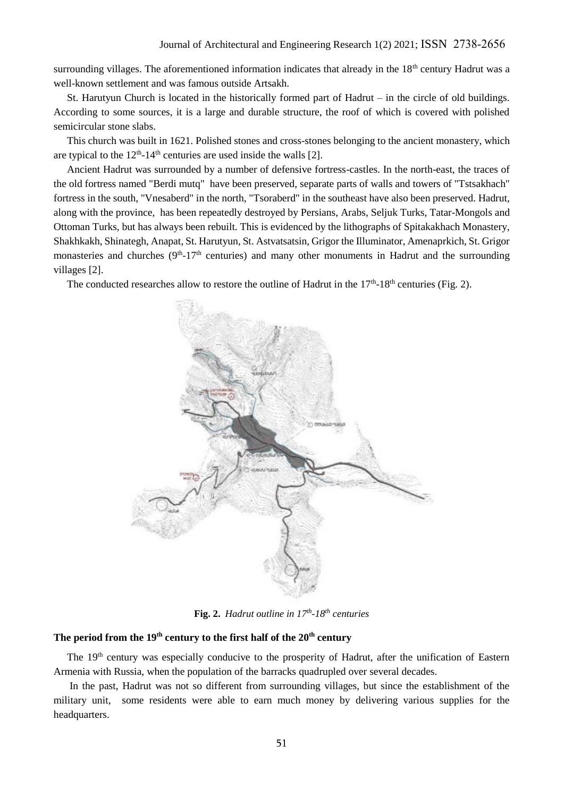surrounding villages. The aforementioned information indicates that already in the 18<sup>th</sup> century Hadrut was a well-known settlement and was famous outside Artsakh.

St. Harutyun Church is located in the historically formed part of Hadrut – in the circle of old buildings. According to some sources, it is a large and durable structure, the roof of which is covered with polished semicircular stone slabs.

This church was built in 1621. Polished stones and cross-stones belonging to the ancient monastery, which are typical to the  $12<sup>th</sup>$ -14<sup>th</sup> centuries are used inside the walls [2].

Ancient Hadrut was surrounded by a number of defensive fortress-castles. In the north-east, the traces of the old fortress named "Berdi mutq" have been preserved, separate parts of walls and towers of "Tstsakhach" fortress in the south, "Vnesaberd" in the north, "Tsoraberd" in the southeast have also been preserved. Hadrut, along with the province, has been repeatedly destroyed by Persians, Arabs, Seljuk Turks, Tatar-Mongols and Ottoman Turks, but has always been rebuilt. This is evidenced by the lithographs of Spitakakhach Monastery, Shakhkakh, Shinategh, Anapat, St. Harutyun, St. Astvatsatsin, Grigor the Illuminator, Amenaprkich, St. Grigor monasteries and churches  $(9<sup>th</sup>-17<sup>th</sup>$  centuries) and many other monuments in Hadrut and the surrounding villages [2].

The conducted researches allow to restore the outline of Hadrut in the  $17<sup>th</sup>$ -18<sup>th</sup> centuries (Fig. 2).



**Fig. 2.** *Hadrut outline in 17th -18th centuries*

## **The period from the 19th century to the first half of the 20th century**

The 19<sup>th</sup> century was especially conducive to the prosperity of Hadrut, after the unification of Eastern Armenia with Russia, when the population of the barracks quadrupled over several decades.

In the past, Hadrut was not so different from surrounding villages, but since the establishment of the military unit, some residents were able to earn much money by delivering various supplies for the headquarters.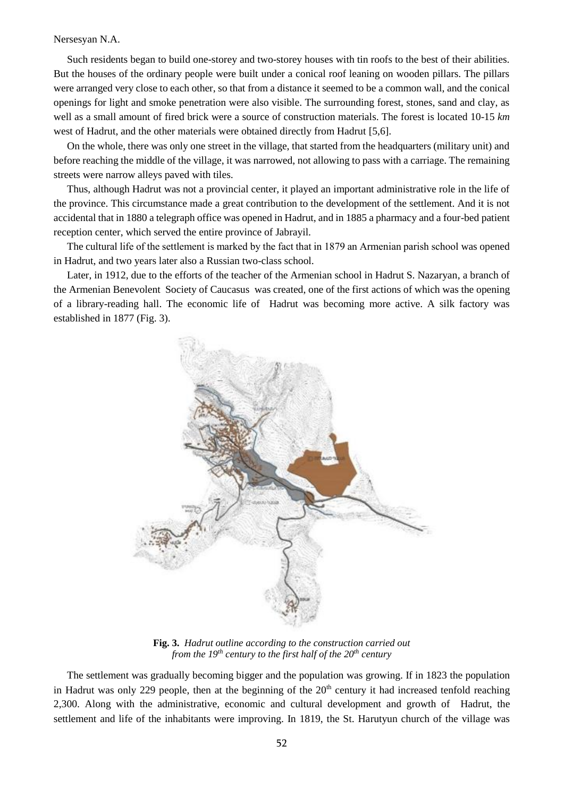#### Nersesyan N.A.

Such residents began to build one-storey and two-storey houses with tin roofs to the best of their abilities. But the houses of the ordinary people were built under a conical roof leaning on wooden pillars. The pillars were arranged very close to each other, so that from a distance it seemed to be a common wall, and the conical openings for light and smoke penetration were also visible. The surrounding forest, stones, sand and clay, as well as a small amount of fired brick were a source of construction materials. The forest is located 10-15 *km* west of Hadrut, and the other materials were obtained directly from Hadrut [5,6].

On the whole, there was only one street in the village, that started from the headquarters (military unit) and before reaching the middle of the village, it was narrowed, not allowing to pass with a carriage. The remaining streets were narrow alleys paved with tiles.

Thus, although Hadrut was not a provincial center, it played an important administrative role in the life of the province. This circumstance made a great contribution to the development of the settlement. And it is not accidental that in 1880 a telegraph office was opened in Hadrut, and in 1885 a pharmacy and a four-bed patient reception center, which served the entire province of Jabrayil.

The cultural life of the settlement is marked by the fact that in 1879 аn Armenian parish school was opened in Hadrut, and two years later also a Russian two-class school.

Later, in 1912, due to the efforts of the teacher of the Armenian school in Hadrut S. Nazaryan, a branch of the Armenian Benevolent Society of Caucasus was created, one of the first actions of which was the opening of a library-reading hall. The economic life of Hadrut was becoming more active. A silk factory was established in 1877 (Fig. 3).



**Fig. 3.** *Hadrut outline according to the construction carried out from the 19th century to the first half of the 20th century*

The settlement was gradually becoming bigger and the population was growing. If in 1823 the population in Hadrut was only 229 people, then at the beginning of the  $20<sup>th</sup>$  century it had increased tenfold reaching 2,300. Along with the administrative, economic and cultural development and growth of Hadrut, the settlement and life of the inhabitants were improving. In 1819, the St. Harutyun church of the village was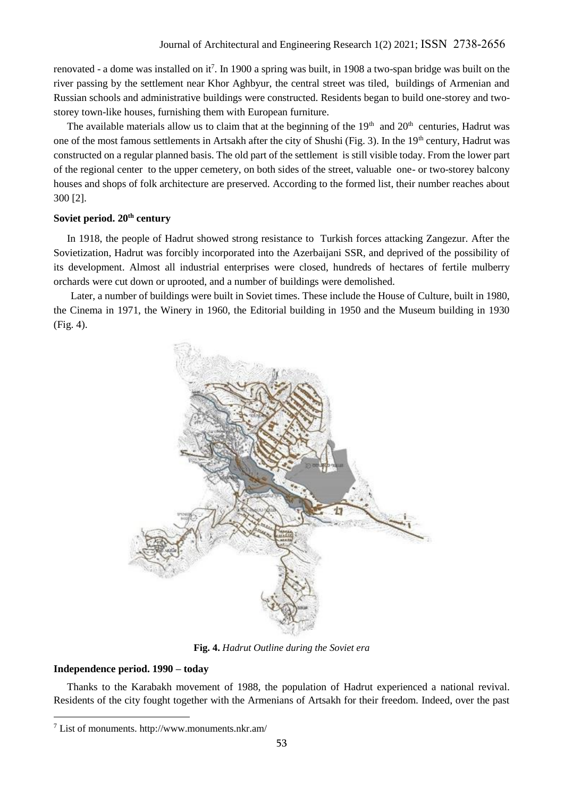renovated - a dome was installed on it<sup>7</sup>. In 1900 a spring was built, in 1908 a two-span bridge was built on the river passing by the settlement near Khor Aghbyur, the central street was tiled, buildings of Armenian and Russian schools and administrative buildings were constructed. Residents began to build one-storey and twostorey town-like houses, furnishing them with European furniture.

The available materials allow us to claim that at the beginning of the  $19<sup>th</sup>$  and  $20<sup>th</sup>$  centuries, Hadrut was one of the most famous settlements in Artsakh after the city of Shushi (Fig. 3). In the 19<sup>th</sup> century, Hadrut was constructed on a regular planned basis. The old part of the settlement is still visible today. From the lower part of the regional center to the upper cemetery, on both sides of the street, valuable one- or two-storey balcony houses and shops of folk architecture are preserved. According to the formed list, their number reaches about 300 [2].

## **Soviet period. 20th century**

In 1918, the people of Hadrut showed strong resistance to Turkish forces attacking Zangezur. After the Sovietization, Hadrut was forcibly incorporated into the Azerbaijani SSR, and deprived of the possibility of its development. Almost all industrial enterprises were closed, hundreds of hectares of fertile mulberry orchards were cut down or uprooted, and a number of buildings were demolished.

Later, a number of buildings were built in Soviet times. These include the House of Culture, built in 1980, the Cinema in 1971, the Winery in 1960, the Editorial building in 1950 and the Museum building in 1930 (Fig. 4).



**Fig. 4.** *Hadrut Outline during the Soviet era*

## **Independence period. 1990 – today**

Thanks to the Karabakh movement of 1988, the population of Hadrut experienced a national revival. Residents of the city fought together with the Armenians of Artsakh for their freedom. Indeed, over the past

<sup>7</sup> List of monuments. http://www.monuments.nkr.am/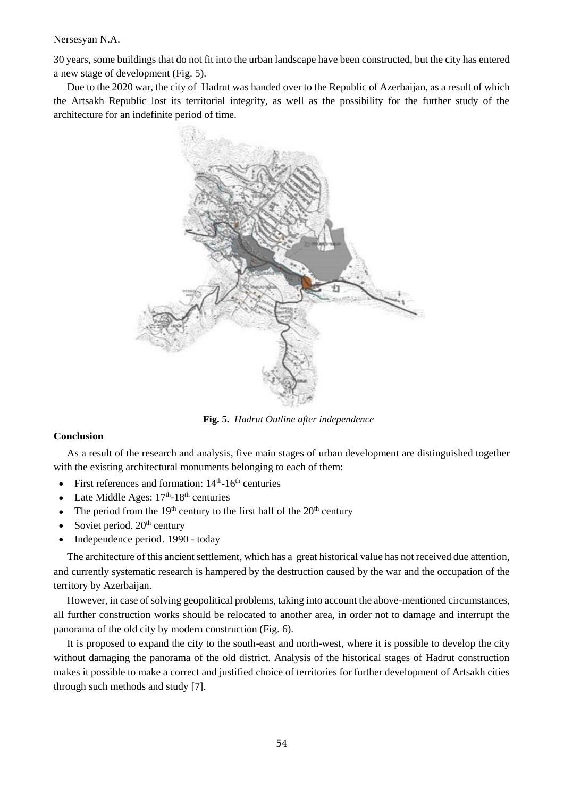30 years, some buildings that do not fit into the urban landscape have been constructed, but the city has entered a new stage of development (Fig. 5).

Due to the 2020 war, the city of Hadrut was handed over to the Republic of Azerbaijan, as a result of which the Artsakh Republic lost its territorial integrity, as well as the possibility for the further study of the architecture for an indefinite period of time.



**Fig. 5.** *Hadrut Outline after independence*

## **Conclusion**

As a result of the research and analysis, five main stages of urban development are distinguished together with the existing architectural monuments belonging to each of them:

- First references and formation:  $14<sup>th</sup>$ -16<sup>th</sup> centuries
- Late Middle Ages:  $17<sup>th</sup>$ -18<sup>th</sup> centuries
- The period from the  $19<sup>th</sup>$  century to the first half of the  $20<sup>th</sup>$  century
- Soviet period. 20<sup>th</sup> century
- Independence period․ 1990 today

The architecture of this ancient settlement, which has a great historical value has not received due attention, and currently systematic research is hampered by the destruction caused by the war and the occupation of the territory by Azerbaijan.

However, in case of solving geopolitical problems, taking into account the above-mentioned circumstances, all further construction works should be relocated to another area, in order not to damage and interrupt the panorama of the old city by modern construction (Fig. 6).

It is proposed to expand the city to the south-east and north-west, where it is possible to develop the city without damaging the panorama of the old district. Analysis of the historical stages of Hadrut construction makes it possible to make a correct and justified choice of territories for further development of Artsakh cities through such methods and study [7].